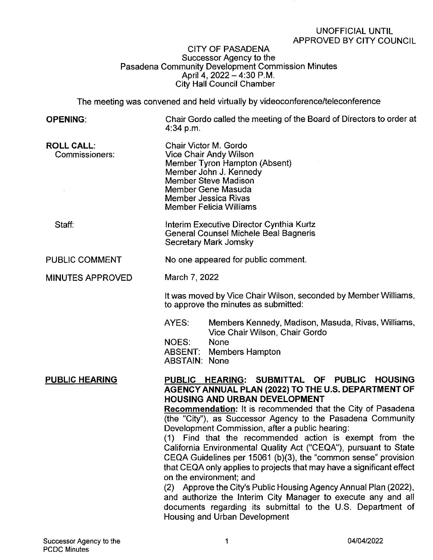## CITY OF PASADENA Successor Agency to the . Pasadena Community Development Commission Minutes April 4, 2022-4:30 P.M. City Hall Council Chamber

The meeting was convened and held virtually by videoconference/teleconference

| The meeting was convened and held virtually by videoconterence/teleconterence |                                                                                                                                                                                                                                                                                                                                                                                                                                                                                                                                                                                                                                                                                                                                                                                                                                                                              |
|-------------------------------------------------------------------------------|------------------------------------------------------------------------------------------------------------------------------------------------------------------------------------------------------------------------------------------------------------------------------------------------------------------------------------------------------------------------------------------------------------------------------------------------------------------------------------------------------------------------------------------------------------------------------------------------------------------------------------------------------------------------------------------------------------------------------------------------------------------------------------------------------------------------------------------------------------------------------|
| <b>OPENING:</b>                                                               | Chair Gordo called the meeting of the Board of Directors to order at<br>4:34 p.m.                                                                                                                                                                                                                                                                                                                                                                                                                                                                                                                                                                                                                                                                                                                                                                                            |
| <b>ROLL CALL:</b><br>Commissioners:                                           | Chair Victor M. Gordo<br>Vice Chair Andy Wilson<br>Member Tyron Hampton (Absent)<br>Member John J. Kennedy<br><b>Member Steve Madison</b><br>Member Gene Masuda<br><b>Member Jessica Rivas</b><br><b>Member Felicia Williams</b>                                                                                                                                                                                                                                                                                                                                                                                                                                                                                                                                                                                                                                             |
| Staff:                                                                        | Interim Executive Director Cynthia Kurtz<br>General Counsel Michele Beal Bagneris<br>Secretary Mark Jomsky                                                                                                                                                                                                                                                                                                                                                                                                                                                                                                                                                                                                                                                                                                                                                                   |
| PUBLIC COMMENT                                                                | No one appeared for public comment.                                                                                                                                                                                                                                                                                                                                                                                                                                                                                                                                                                                                                                                                                                                                                                                                                                          |
| <b>MINUTES APPROVED</b>                                                       | March 7, 2022                                                                                                                                                                                                                                                                                                                                                                                                                                                                                                                                                                                                                                                                                                                                                                                                                                                                |
|                                                                               | It was moved by Vice Chair Wilson, seconded by Member Williams,<br>to approve the minutes as submitted:                                                                                                                                                                                                                                                                                                                                                                                                                                                                                                                                                                                                                                                                                                                                                                      |
|                                                                               | AYES:<br>Members Kennedy, Madison, Masuda, Rivas, Williams,<br>Vice Chair Wilson, Chair Gordo<br>None<br>NOES:<br><b>ABSENT: Members Hampton</b><br><b>ABSTAIN: None</b>                                                                                                                                                                                                                                                                                                                                                                                                                                                                                                                                                                                                                                                                                                     |
| <b>PUBLIC HEARING</b>                                                         | PUBLIC HEARING: SUBMITTAL OF PUBLIC HOUSING<br>AGENCY ANNUAL PLAN (2022) TO THE U.S. DEPARTMENT OF<br><b>HOUSING AND URBAN DEVELOPMENT</b><br><b>Recommendation:</b> It is recommended that the City of Pasadena<br>(the "City"), as Successor Agency to the Pasadena Community<br>Development Commission, after a public hearing:<br>(1) Find that the recommended action is exempt from the<br>California Environmental Quality Act ("CEQA"), pursuant to State<br>CEQA Guidelines per 15061 (b)(3), the "common sense" provision<br>that CEQA only applies to projects that may have a significant effect<br>on the environment; and<br>(2) Approve the City's Public Housing Agency Annual Plan (2022),<br>and authorize the Interim City Manager to execute any and all<br>documents regarding its submittal to the U.S. Department of<br>Housing and Urban Development |